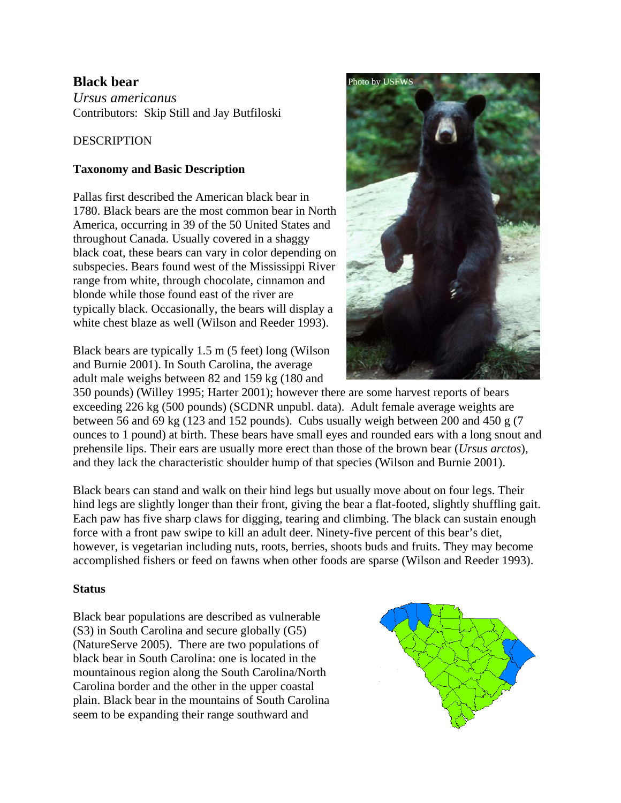# **Black bear**

*Ursus americanus* Contributors: Skip Still and Jay Butfiloski

## DESCRIPTION

## **Taxonomy and Basic Description**

Pallas first described the American black bear in 1780. Black bears are the most common bear in North America, occurring in 39 of the 50 United States and throughout Canada. Usually covered in a shaggy black coat, these bears can vary in color depending on subspecies. Bears found west of the Mississippi River range from white, through chocolate, cinnamon and blonde while those found east of the river are typically black. Occasionally, the bears will display a white chest blaze as well (Wilson and Reeder 1993).

Black bears are typically 1.5 m (5 feet) long (Wilson and Burnie 2001). In South Carolina, the average adult male weighs between 82 and 159 kg (180 and

350 pounds) (Willey 1995; Harter 2001); however there are some harvest reports of bears exceeding 226 kg (500 pounds) (SCDNR unpubl. data). Adult female average weights are between 56 and 69 kg (123 and 152 pounds). Cubs usually weigh between 200 and 450 g (7 ounces to 1 pound) at birth. These bears have small eyes and rounded ears with a long snout and prehensile lips. Their ears are usually more erect than those of the brown bear (*Ursus arctos*), and they lack the characteristic shoulder hump of that species (Wilson and Burnie 2001).

Black bears can stand and walk on their hind legs but usually move about on four legs. Their hind legs are slightly longer than their front, giving the bear a flat-footed, slightly shuffling gait. Each paw has five sharp claws for digging, tearing and climbing. The black can sustain enough force with a front paw swipe to kill an adult deer. Ninety-five percent of this bear's diet, however, is vegetarian including nuts, roots, berries, shoots buds and fruits. They may become accomplished fishers or feed on fawns when other foods are sparse (Wilson and Reeder 1993).

### **Status**

Black bear populations are described as vulnerable (S3) in South Carolina and secure globally (G5) (NatureServe 2005). There are two populations of black bear in South Carolina: one is located in the mountainous region along the South Carolina/North Carolina border and the other in the upper coastal plain. Black bear in the mountains of South Carolina seem to be expanding their range southward and



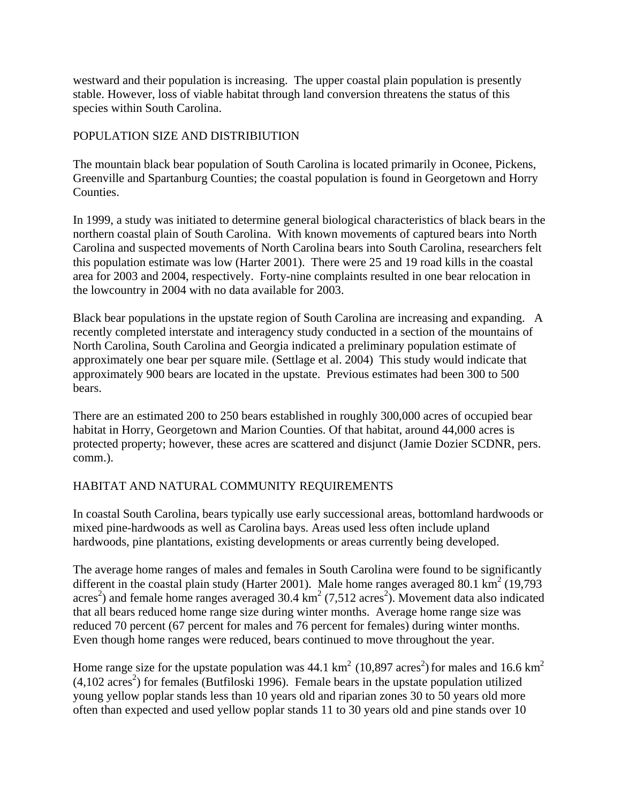westward and their population is increasing. The upper coastal plain population is presently stable. However, loss of viable habitat through land conversion threatens the status of this species within South Carolina.

## POPULATION SIZE AND DISTRIBIUTION

The mountain black bear population of South Carolina is located primarily in Oconee, Pickens, Greenville and Spartanburg Counties; the coastal population is found in Georgetown and Horry Counties.

In 1999, a study was initiated to determine general biological characteristics of black bears in the northern coastal plain of South Carolina. With known movements of captured bears into North Carolina and suspected movements of North Carolina bears into South Carolina, researchers felt this population estimate was low (Harter 2001). There were 25 and 19 road kills in the coastal area for 2003 and 2004, respectively. Forty-nine complaints resulted in one bear relocation in the lowcountry in 2004 with no data available for 2003.

Black bear populations in the upstate region of South Carolina are increasing and expanding. A recently completed interstate and interagency study conducted in a section of the mountains of North Carolina, South Carolina and Georgia indicated a preliminary population estimate of approximately one bear per square mile. (Settlage et al. 2004) This study would indicate that approximately 900 bears are located in the upstate. Previous estimates had been 300 to 500 bears.

There are an estimated 200 to 250 bears established in roughly 300,000 acres of occupied bear habitat in Horry, Georgetown and Marion Counties. Of that habitat, around 44,000 acres is protected property; however, these acres are scattered and disjunct (Jamie Dozier SCDNR, pers. comm.).

# HABITAT AND NATURAL COMMUNITY REQUIREMENTS

In coastal South Carolina, bears typically use early successional areas, bottomland hardwoods or mixed pine-hardwoods as well as Carolina bays. Areas used less often include upland hardwoods, pine plantations, existing developments or areas currently being developed.

The average home ranges of males and females in South Carolina were found to be significantly different in the coastal plain study (Harter 2001). Male home ranges averaged 80.1  $\text{km}^2$  (19,793 acres<sup>2</sup>) and female home ranges averaged 30.4  $\text{km}^2$  (7,512 acres<sup>2</sup>). Movement data also indicated that all bears reduced home range size during winter months. Average home range size was reduced 70 percent (67 percent for males and 76 percent for females) during winter months. Even though home ranges were reduced, bears continued to move throughout the year.

Home range size for the upstate population was 44.1  $\text{km}^2$  (10,897 acres<sup>2</sup>) for males and 16.6  $\text{km}^2$  $(4,102 \text{ acres}^2)$  for females (Butfiloski 1996). Female bears in the upstate population utilized young yellow poplar stands less than 10 years old and riparian zones 30 to 50 years old more often than expected and used yellow poplar stands 11 to 30 years old and pine stands over 10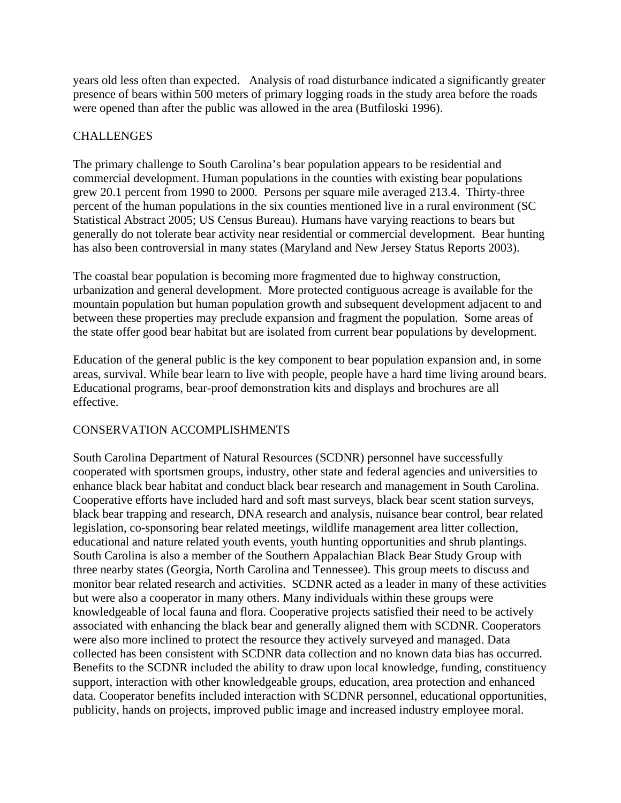years old less often than expected. Analysis of road disturbance indicated a significantly greater presence of bears within 500 meters of primary logging roads in the study area before the roads were opened than after the public was allowed in the area (Butfiloski 1996).

#### **CHALLENGES**

The primary challenge to South Carolina's bear population appears to be residential and commercial development. Human populations in the counties with existing bear populations grew 20.1 percent from 1990 to 2000. Persons per square mile averaged 213.4. Thirty-three percent of the human populations in the six counties mentioned live in a rural environment (SC Statistical Abstract 2005; US Census Bureau). Humans have varying reactions to bears but generally do not tolerate bear activity near residential or commercial development. Bear hunting has also been controversial in many states (Maryland and New Jersey Status Reports 2003).

The coastal bear population is becoming more fragmented due to highway construction, urbanization and general development. More protected contiguous acreage is available for the mountain population but human population growth and subsequent development adjacent to and between these properties may preclude expansion and fragment the population. Some areas of the state offer good bear habitat but are isolated from current bear populations by development.

Education of the general public is the key component to bear population expansion and, in some areas, survival. While bear learn to live with people, people have a hard time living around bears. Educational programs, bear-proof demonstration kits and displays and brochures are all effective.

### CONSERVATION ACCOMPLISHMENTS

South Carolina Department of Natural Resources (SCDNR) personnel have successfully cooperated with sportsmen groups, industry, other state and federal agencies and universities to enhance black bear habitat and conduct black bear research and management in South Carolina. Cooperative efforts have included hard and soft mast surveys, black bear scent station surveys, black bear trapping and research, DNA research and analysis, nuisance bear control, bear related legislation, co-sponsoring bear related meetings, wildlife management area litter collection, educational and nature related youth events, youth hunting opportunities and shrub plantings. South Carolina is also a member of the Southern Appalachian Black Bear Study Group with three nearby states (Georgia, North Carolina and Tennessee). This group meets to discuss and monitor bear related research and activities. SCDNR acted as a leader in many of these activities but were also a cooperator in many others. Many individuals within these groups were knowledgeable of local fauna and flora. Cooperative projects satisfied their need to be actively associated with enhancing the black bear and generally aligned them with SCDNR. Cooperators were also more inclined to protect the resource they actively surveyed and managed. Data collected has been consistent with SCDNR data collection and no known data bias has occurred. Benefits to the SCDNR included the ability to draw upon local knowledge, funding, constituency support, interaction with other knowledgeable groups, education, area protection and enhanced data. Cooperator benefits included interaction with SCDNR personnel, educational opportunities, publicity, hands on projects, improved public image and increased industry employee moral.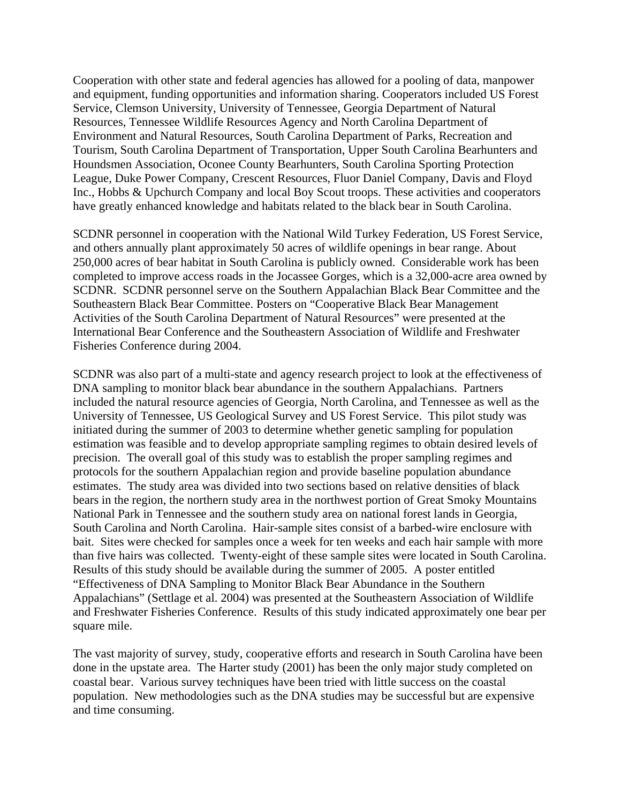Cooperation with other state and federal agencies has allowed for a pooling of data, manpower and equipment, funding opportunities and information sharing. Cooperators included US Forest Service, Clemson University, University of Tennessee, Georgia Department of Natural Resources, Tennessee Wildlife Resources Agency and North Carolina Department of Environment and Natural Resources, South Carolina Department of Parks, Recreation and Tourism, South Carolina Department of Transportation, Upper South Carolina Bearhunters and Houndsmen Association, Oconee County Bearhunters, South Carolina Sporting Protection League, Duke Power Company, Crescent Resources, Fluor Daniel Company, Davis and Floyd Inc., Hobbs & Upchurch Company and local Boy Scout troops. These activities and cooperators have greatly enhanced knowledge and habitats related to the black bear in South Carolina.

SCDNR personnel in cooperation with the National Wild Turkey Federation, US Forest Service, and others annually plant approximately 50 acres of wildlife openings in bear range. About 250,000 acres of bear habitat in South Carolina is publicly owned. Considerable work has been completed to improve access roads in the Jocassee Gorges, which is a 32,000-acre area owned by SCDNR. SCDNR personnel serve on the Southern Appalachian Black Bear Committee and the Southeastern Black Bear Committee. Posters on "Cooperative Black Bear Management Activities of the South Carolina Department of Natural Resources" were presented at the International Bear Conference and the Southeastern Association of Wildlife and Freshwater Fisheries Conference during 2004.

SCDNR was also part of a multi-state and agency research project to look at the effectiveness of DNA sampling to monitor black bear abundance in the southern Appalachians. Partners included the natural resource agencies of Georgia, North Carolina, and Tennessee as well as the University of Tennessee, US Geological Survey and US Forest Service. This pilot study was initiated during the summer of 2003 to determine whether genetic sampling for population estimation was feasible and to develop appropriate sampling regimes to obtain desired levels of precision. The overall goal of this study was to establish the proper sampling regimes and protocols for the southern Appalachian region and provide baseline population abundance estimates. The study area was divided into two sections based on relative densities of black bears in the region, the northern study area in the northwest portion of Great Smoky Mountains National Park in Tennessee and the southern study area on national forest lands in Georgia, South Carolina and North Carolina. Hair-sample sites consist of a barbed-wire enclosure with bait. Sites were checked for samples once a week for ten weeks and each hair sample with more than five hairs was collected. Twenty-eight of these sample sites were located in South Carolina. Results of this study should be available during the summer of 2005. A poster entitled "Effectiveness of DNA Sampling to Monitor Black Bear Abundance in the Southern Appalachians" (Settlage et al. 2004) was presented at the Southeastern Association of Wildlife and Freshwater Fisheries Conference. Results of this study indicated approximately one bear per square mile.

The vast majority of survey, study, cooperative efforts and research in South Carolina have been done in the upstate area. The Harter study (2001) has been the only major study completed on coastal bear. Various survey techniques have been tried with little success on the coastal population. New methodologies such as the DNA studies may be successful but are expensive and time consuming.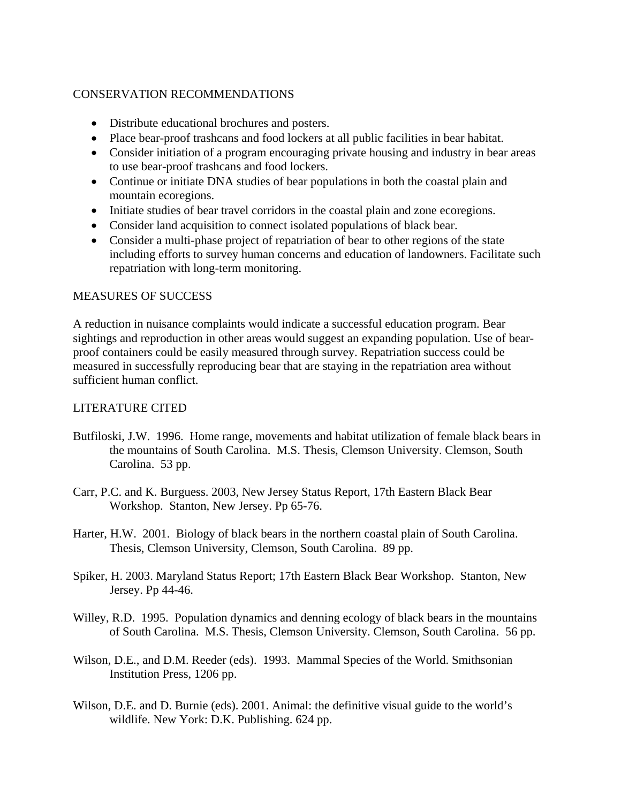#### CONSERVATION RECOMMENDATIONS

- Distribute educational brochures and posters.
- Place bear-proof trashcans and food lockers at all public facilities in bear habitat.
- Consider initiation of a program encouraging private housing and industry in bear areas to use bear-proof trashcans and food lockers.
- Continue or initiate DNA studies of bear populations in both the coastal plain and mountain ecoregions.
- Initiate studies of bear travel corridors in the coastal plain and zone ecoregions.
- Consider land acquisition to connect isolated populations of black bear.
- Consider a multi-phase project of repatriation of bear to other regions of the state including efforts to survey human concerns and education of landowners. Facilitate such repatriation with long-term monitoring.

#### MEASURES OF SUCCESS

A reduction in nuisance complaints would indicate a successful education program. Bear sightings and reproduction in other areas would suggest an expanding population. Use of bearproof containers could be easily measured through survey. Repatriation success could be measured in successfully reproducing bear that are staying in the repatriation area without sufficient human conflict.

#### LITERATURE CITED

- Butfiloski, J.W. 1996. Home range, movements and habitat utilization of female black bears in the mountains of South Carolina. M.S. Thesis, Clemson University. Clemson, South Carolina. 53 pp.
- Carr, P.C. and K. Burguess. 2003, New Jersey Status Report, 17th Eastern Black Bear Workshop. Stanton, New Jersey. Pp 65-76.
- Harter, H.W. 2001. Biology of black bears in the northern coastal plain of South Carolina. Thesis, Clemson University, Clemson, South Carolina. 89 pp.
- Spiker, H. 2003. Maryland Status Report; 17th Eastern Black Bear Workshop. Stanton, New Jersey. Pp 44-46.
- Willey, R.D. 1995. Population dynamics and denning ecology of black bears in the mountains of South Carolina. M.S. Thesis, Clemson University. Clemson, South Carolina. 56 pp.
- Wilson, D.E., and D.M. Reeder (eds). 1993. Mammal Species of the World. Smithsonian Institution Press, 1206 pp.
- Wilson, D.E. and D. Burnie (eds). 2001. Animal: the definitive visual guide to the world's wildlife. New York: D.K. Publishing. 624 pp.